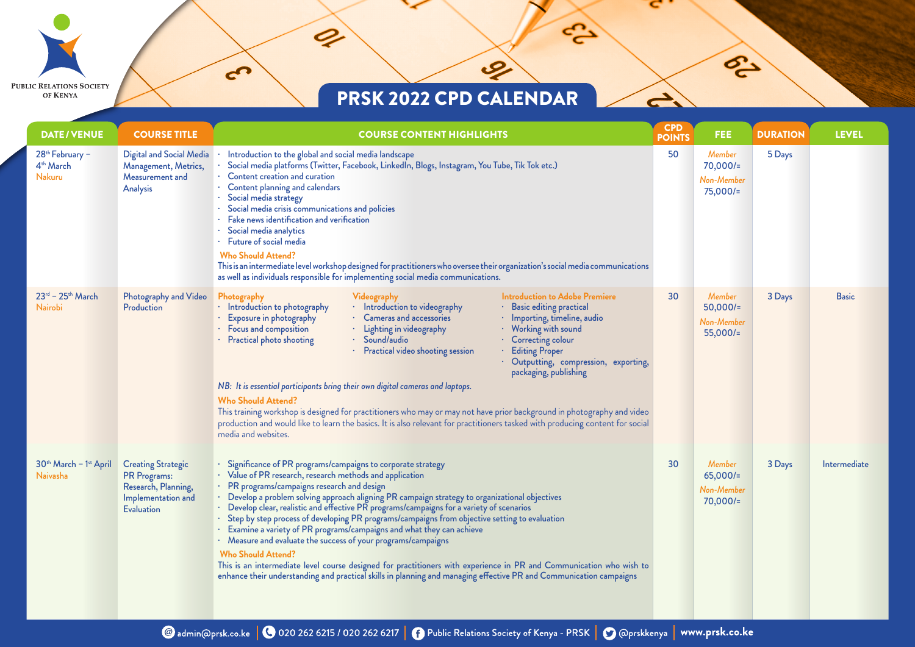$\mathcal{L}$ 

 $\boldsymbol{\varphi}$ 

 $\mathbf{c}$ 

**PUBLIC RELATIONS SOCIETY** 

OF KENYA

مي.<br>ا

P3

 $\rightarrow$ 

| <b>DATE/VENUE</b>                                                     | <b>COURSE TITLE</b>                                                                                                | <b>COURSE CONTENT HIGHLIGHTS</b>                                                                                                                                                                                                                                                                                                                                                                                                                                                                                                                                                                                                                                                                                                                                                                                                                                                                                                              | <b>CPD</b><br><b>POINTS</b> | <b>FEE</b>                                              | <b>DURATION</b> | <b>LEVEL</b> |
|-----------------------------------------------------------------------|--------------------------------------------------------------------------------------------------------------------|-----------------------------------------------------------------------------------------------------------------------------------------------------------------------------------------------------------------------------------------------------------------------------------------------------------------------------------------------------------------------------------------------------------------------------------------------------------------------------------------------------------------------------------------------------------------------------------------------------------------------------------------------------------------------------------------------------------------------------------------------------------------------------------------------------------------------------------------------------------------------------------------------------------------------------------------------|-----------------------------|---------------------------------------------------------|-----------------|--------------|
| 28 <sup>th</sup> February -<br>4 <sup>th</sup> March<br><b>Nakuru</b> | Digital and Social Media<br>Management, Metrics,<br>Measurement and<br>Analysis                                    | Introduction to the global and social media landscape<br>Social media platforms (Twitter, Facebook, LinkedIn, Blogs, Instagram, You Tube, Tik Tok etc.)<br>Content creation and curation<br>Content planning and calendars<br>Social media strategy<br>Social media crisis communications and policies<br>Fake news identification and verification<br>Social media analytics<br>Future of social media<br><b>Who Should Attend?</b><br>This is an intermediate level workshop designed for practitioners who oversee their organization's social media communications<br>as well as individuals responsible for implementing social media communications.                                                                                                                                                                                                                                                                                    | 50                          | <b>Member</b><br>$70,000/=$<br>Non-Member<br>$75,000/-$ | 5 Days          |              |
| $23^{rd}$ - $25^{th}$ March<br>Nairobi                                | Photography and Video<br>Production                                                                                | <b>Introduction to Adobe Premiere</b><br>Photography<br>Videography<br>· Introduction to photography<br>· Introduction to videography<br>· Basic editing practical<br>Exposure in photography<br>· Cameras and accessories<br>· Importing, timeline, audio<br>Focus and composition<br>· Lighting in videography<br>· Working with sound<br>Practical photo shooting<br>· Sound/audio<br>· Correcting colour<br>· Practical video shooting session<br><b>Editing Proper</b><br>· Outputting, compression, exporting,<br>packaging, publishing<br>NB: It is essential participants bring their own digital cameras and laptops.<br><b>Who Should Attend?</b><br>This training workshop is designed for practitioners who may or may not have prior background in photography and video<br>production and would like to learn the basics. It is also relevant for practitioners tasked with producing content for social<br>media and websites. | 30                          | Member<br>$50,000/=$<br>Non-Member<br>$55,000/-$        | 3 Days          | <b>Basic</b> |
| 30 <sup>th</sup> March - 1 <sup>st</sup> April<br>Naivasha            | <b>Creating Strategic</b><br><b>PR</b> Programs:<br>Research, Planning,<br>Implementation and<br><b>Evaluation</b> | · Significance of PR programs/campaigns to corporate strategy<br>· Value of PR research, research methods and application<br>PR programs/campaigns research and design<br>· Develop a problem solving approach aligning PR campaign strategy to organizational objectives<br>· Develop clear, realistic and effective PR programs/campaigns for a variety of scenarios<br>· Step by step process of developing PR programs/campaigns from objective setting to evaluation<br>· Examine a variety of PR programs/campaigns and what they can achieve<br>· Measure and evaluate the success of your programs/campaigns<br><b>Who Should Attend?</b><br>This is an intermediate level course designed for practitioners with experience in PR and Communication who wish to<br>enhance their understanding and practical skills in planning and managing effective PR and Communication campaigns                                                | 30                          | Member<br>$65,000/=$<br>Non-Member<br>70,000/2          | 3 Days          | Intermediate |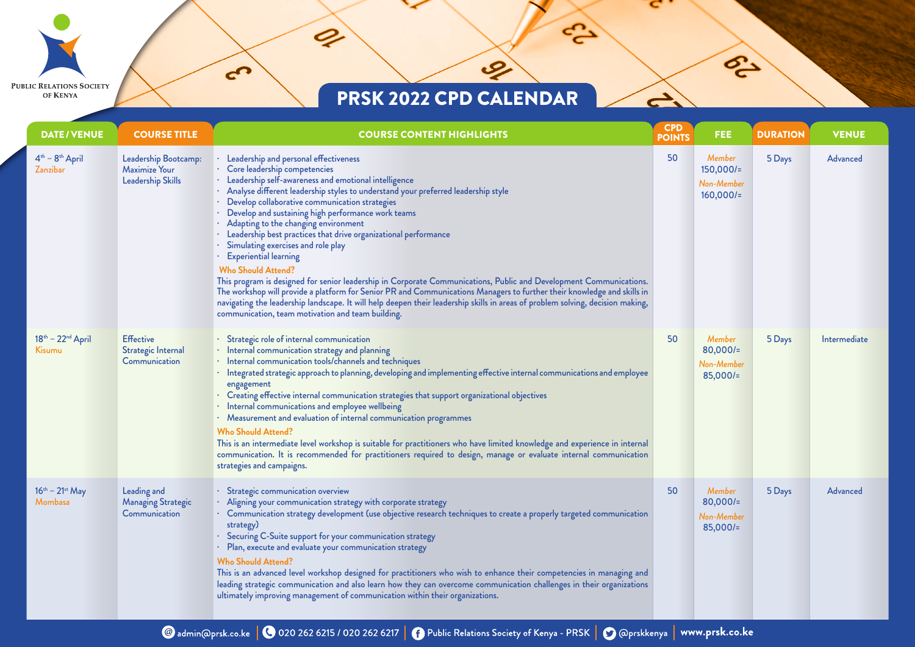$\mathcal{L}$ 

 $\boldsymbol{c}$ 

 $\mathbf{r}$ 

**PUBLIC RELATIONS SOCIETY** 

OF KENYA

مي.<br>ا

POL

 $\rightarrow$ 

| <b>DATE/VENUE</b>                  | <b>COURSE TITLE</b>                                               | <b>COURSE CONTENT HIGHLIGHTS</b>                                                                                                                                                                                                                                                                                                                                                                                                                                                                                                                                                                                                                                                                                                                                                                                                                                                                                                                                                       | <b>CPD</b><br><b>POINTS</b> | FEE.                                               | <b>DURATION</b> | <b>VENUE</b>    |
|------------------------------------|-------------------------------------------------------------------|----------------------------------------------------------------------------------------------------------------------------------------------------------------------------------------------------------------------------------------------------------------------------------------------------------------------------------------------------------------------------------------------------------------------------------------------------------------------------------------------------------------------------------------------------------------------------------------------------------------------------------------------------------------------------------------------------------------------------------------------------------------------------------------------------------------------------------------------------------------------------------------------------------------------------------------------------------------------------------------|-----------------------------|----------------------------------------------------|-----------------|-----------------|
| $4th - 8th$ April<br>Zanzibar      | Leadership Bootcamp:<br><b>Maximize Your</b><br>Leadership Skills | Leadership and personal effectiveness<br>· Core leadership competencies<br>Leadership self-awareness and emotional intelligence<br>· Analyse different leadership styles to understand your preferred leadership style<br>Develop collaborative communication strategies<br>Develop and sustaining high performance work teams<br>· Adapting to the changing environment<br>Leadership best practices that drive organizational performance<br>Simulating exercises and role play<br><b>Experiential learning</b><br><b>Who Should Attend?</b><br>This program is designed for senior leadership in Corporate Communications, Public and Development Communications.<br>The workshop will provide a platform for Senior PR and Communications Managers to further their knowledge and skills in<br>navigating the leadership landscape. It will help deepen their leadership skills in areas of problem solving, decision making,<br>communication, team motivation and team building. | 50                          | Member<br>$150,000/=$<br>Non-Member<br>$160,000/=$ | 5 Days          | Advanced        |
| $18th - 22nd$ April<br>Kisumu      | <b>Effective</b><br>Strategic Internal<br>Communication           | Strategic role of internal communication<br>· Internal communication strategy and planning<br>· Internal communication tools/channels and techniques<br>Integrated strategic approach to planning, developing and implementing effective internal communications and employee<br>engagement<br>Creating effective internal communication strategies that support organizational objectives<br>· Internal communications and employee wellbeing<br>· Measurement and evaluation of internal communication programmes<br><b>Who Should Attend?</b><br>This is an intermediate level workshop is suitable for practitioners who have limited knowledge and experience in internal<br>communication. It is recommended for practitioners required to design, manage or evaluate internal communication<br>strategies and campaigns.                                                                                                                                                        | 50                          | Member<br>$80,000/$ =<br>Non-Member<br>$85,000/=$  | 5 Days          | Intermediate    |
| $16^{th} - 21^{st}$ May<br>Mombasa | Leading and<br><b>Managing Strategic</b><br>Communication         | · Strategic communication overview<br>· Aligning your communication strategy with corporate strategy<br>· Communication strategy development (use objective research techniques to create a properly targeted communication<br>strategy)<br>Securing C-Suite support for your communication strategy<br>· Plan, execute and evaluate your communication strategy<br><b>Who Should Attend?</b><br>This is an advanced level workshop designed for practitioners who wish to enhance their competencies in managing and<br>leading strategic communication and also learn how they can overcome communication challenges in their organizations<br>ultimately improving management of communication within their organizations.                                                                                                                                                                                                                                                          | 50                          | Member<br>$80,000/$ =<br>Non-Member<br>$85,000/=$  | 5 Days          | <b>Advanced</b> |

@admin@prsk.co.ke | @ 020 262 6215 / 020 262 6217 | @ Public Relations Society of Kenya - PRSK | @ @prskkenya | www.prsk.co.ke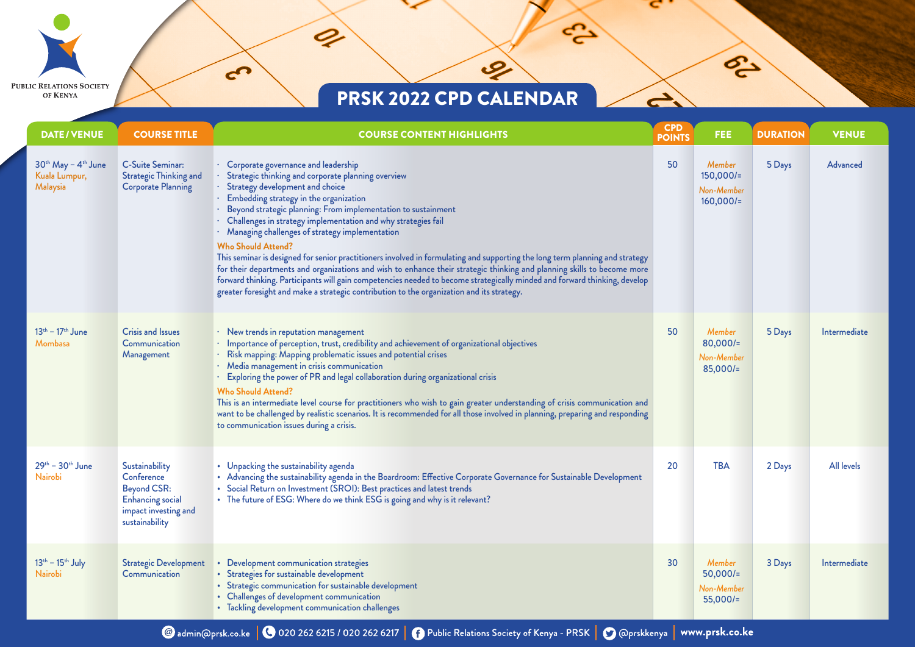$\mathcal{L}$ 

 $\boldsymbol{c}$ 

 $\mathbf{r}$ 

**PUBLIC RELATIONS SOCIETY** 

OF KENYA

مي.<br>ا

P.

 $\rightarrow$ 

| <b>DATE/VENUE</b>                                                        | <b>COURSE TITLE</b>                                                                                                     | <b>COURSE CONTENT HIGHLIGHTS</b>                                                                                                                                                                                                                                                                                                                                                                                                                                                                                                                                                                                                                                                                                                                                                                                                                                                 | <b>CPD</b><br><b>POINTS</b> | <b>FEE</b>                                              | <b>DURATION</b> | <b>VENUE</b>      |
|--------------------------------------------------------------------------|-------------------------------------------------------------------------------------------------------------------------|----------------------------------------------------------------------------------------------------------------------------------------------------------------------------------------------------------------------------------------------------------------------------------------------------------------------------------------------------------------------------------------------------------------------------------------------------------------------------------------------------------------------------------------------------------------------------------------------------------------------------------------------------------------------------------------------------------------------------------------------------------------------------------------------------------------------------------------------------------------------------------|-----------------------------|---------------------------------------------------------|-----------------|-------------------|
| 30 <sup>th</sup> May - 4 <sup>th</sup> June<br>Kuala Lumpur,<br>Malaysia | <b>C-Suite Seminar:</b><br><b>Strategic Thinking and</b><br><b>Corporate Planning</b>                                   | · Corporate governance and leadership<br>Strategic thinking and corporate planning overview<br>Strategy development and choice<br>Embedding strategy in the organization<br>Beyond strategic planning: From implementation to sustainment<br>Challenges in strategy implementation and why strategies fail<br>· Managing challenges of strategy implementation<br><b>Who Should Attend?</b><br>This seminar is designed for senior practitioners involved in formulating and supporting the long term planning and strategy<br>for their departments and organizations and wish to enhance their strategic thinking and planning skills to become more<br>forward thinking. Participants will gain competencies needed to become strategically minded and forward thinking, develop<br>greater foresight and make a strategic contribution to the organization and its strategy. | 50                          | <b>Member</b><br>$150,000/=$<br>Non-Member<br>160,000/2 | 5 Days          | <b>Advanced</b>   |
| $13^{th} - 17^{th}$ June<br>Mombasa                                      | <b>Crisis and Issues</b><br>Communication<br>Management                                                                 | · New trends in reputation management<br>· Importance of perception, trust, credibility and achievement of organizational objectives<br>Risk mapping: Mapping problematic issues and potential crises<br>· Media management in crisis communication<br>Exploring the power of PR and legal collaboration during organizational crisis<br><b>Who Should Attend?</b><br>This is an intermediate level course for practitioners who wish to gain greater understanding of crisis communication and<br>want to be challenged by realistic scenarios. It is recommended for all those involved in planning, preparing and responding<br>to communication issues during a crisis.                                                                                                                                                                                                      | 50                          | Member<br>$80,000/=$<br>Non-Member<br>$85,000/=$        | 5 Days          | Intermediate      |
| $29^{th} - 30^{th}$ June<br><b>Nairobi</b>                               | Sustainability<br>Conference<br><b>Beyond CSR:</b><br><b>Enhancing</b> social<br>impact investing and<br>sustainability | • Unpacking the sustainability agenda<br>• Advancing the sustainability agenda in the Boardroom: Effective Corporate Governance for Sustainable Development<br>• Social Return on Investment (SROI): Best practices and latest trends<br>• The future of ESG: Where do we think ESG is going and why is it relevant?                                                                                                                                                                                                                                                                                                                                                                                                                                                                                                                                                             | 20                          | <b>TBA</b>                                              | 2 Days          | <b>All levels</b> |
| $13th - 15th$ July<br>Nairobi                                            | <b>Strategic Development</b><br><b>Communication</b>                                                                    | Development communication strategies<br>• Strategies for sustainable development<br>• Strategic communication for sustainable development<br>• Challenges of development communication<br>• Tackling development communication challenges                                                                                                                                                                                                                                                                                                                                                                                                                                                                                                                                                                                                                                        | 30                          | Member<br>$50,000/=$<br>Non-Member<br>$55,000/=$        | 3 Days          | Intermediate      |

@admin@prsk.co.ke | @ 020 262 6215 / 020 262 6217 | @ Public Relations Society of Kenya - PRSK | @ @prskkenya | www.prsk.co.ke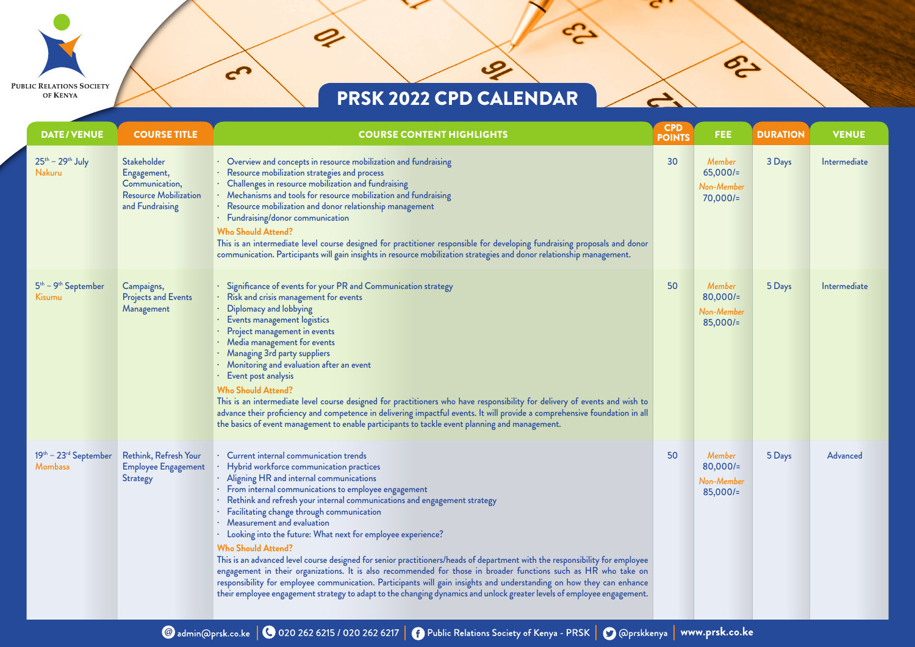$\mathcal{L}$ 

 $\boldsymbol{\varnothing}$ 

 $\mathbf{r}$ 

**PUBLIC RELATIONS SOCIETY** 

OF KENYA

مي.<br>ا

P3

 $\rightarrow$ 

| <b>DATE/VENUE</b>                   | <b>COURSE TITLE</b>                                                                             | <b>COURSE CONTENT HIGHLIGHTS</b>                                                                                                                                                                                                                                                                                                                                                                                                                                                                                                                                                                                                                                                                                                                                                                                                                                                                                                                         | <b>CPD</b><br><b>POINTS</b> | FEE.                                             | <b>DURATION</b> | <b>VENUE</b>    |
|-------------------------------------|-------------------------------------------------------------------------------------------------|----------------------------------------------------------------------------------------------------------------------------------------------------------------------------------------------------------------------------------------------------------------------------------------------------------------------------------------------------------------------------------------------------------------------------------------------------------------------------------------------------------------------------------------------------------------------------------------------------------------------------------------------------------------------------------------------------------------------------------------------------------------------------------------------------------------------------------------------------------------------------------------------------------------------------------------------------------|-----------------------------|--------------------------------------------------|-----------------|-----------------|
| $25th - 29th$ July<br><b>Nakuru</b> | Stakeholder<br>Engagement,<br>Communication,<br><b>Resource Mobilization</b><br>and Fundraising | • Overview and concepts in resource mobilization and fundraising<br>Resource mobilization strategies and process<br>· Challenges in resource mobilization and fundraising<br>· Mechanisms and tools for resource mobilization and fundraising<br>· Resource mobilization and donor relationship management<br>· Fundraising/donor communication<br><b>Who Should Attend?</b><br>This is an intermediate level course designed for practitioner responsible for developing fundraising proposals and donor<br>communication. Participants will gain insights in resource mobilization strategies and donor relationship management.                                                                                                                                                                                                                                                                                                                       | 30                          | Member<br>65,000/2<br>Non-Member<br>70,000/2     | 3 Days          | Intermediate    |
| $5th - 9th September$<br>Kisumu     | Campaigns,<br><b>Projects and Events</b><br>Management                                          | $\cdot$ Significance of events for your PR and Communication strategy<br>· Risk and crisis management for events<br>Diplomacy and lobbying<br>· Events management logistics<br>· Project management in events<br>· Media management for events<br>· Managing 3rd party suppliers<br>· Monitoring and evaluation after an event<br>Event post analysis<br><b>Who Should Attend?</b><br>This is an intermediate level course designed for practitioners who have responsibility for delivery of events and wish to<br>advance their proficiency and competence in delivering impactful events. It will provide a comprehensive foundation in all<br>the basics of event management to enable participants to tackle event planning and management.                                                                                                                                                                                                         | 50                          | Member<br>$80,000/=$<br>Non-Member<br>$85,000/=$ | 5 Days          | Intermediate    |
| $19th - 23rd September$<br>Mombasa  | Rethink, Refresh Your<br><b>Employee Engagement</b><br><b>Strategy</b>                          | · Current internal communication trends<br>Hybrid workforce communication practices<br>· Aligning HR and internal communications<br>· From internal communications to employee engagement<br>· Rethink and refresh your internal communications and engagement strategy<br>· Facilitating change through communication<br>· Measurement and evaluation<br>· Looking into the future: What next for employee experience?<br><b>Who Should Attend?</b><br>This is an advanced level course designed for senior practitioners/heads of department with the responsibility for employee<br>engagement in their organizations. It is also recommended for those in broader functions such as HR who take on<br>responsibility for employee communication. Participants will gain insights and understanding on how they can enhance<br>their employee engagement strategy to adapt to the changing dynamics and unlock greater levels of employee engagement. | 50                          | Member<br>$80,000/=$<br>Non-Member<br>$85,000/=$ | 5 Days          | <b>Advanced</b> |